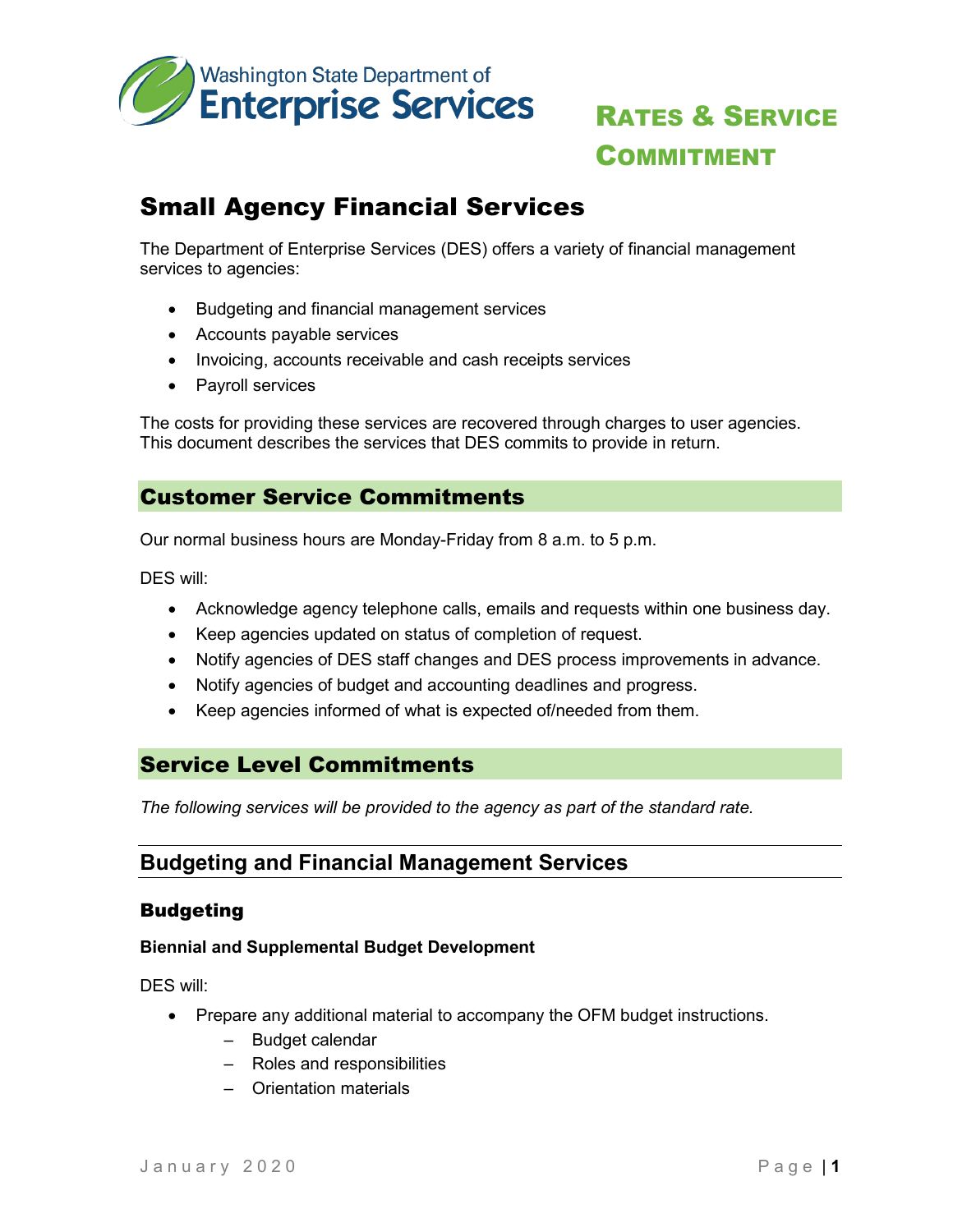

# RATES & SERVICE COMMITMENT

## Small Agency Financial Services

The Department of Enterprise Services (DES) offers a variety of financial management services to agencies:

- Budgeting and financial management services
- Accounts payable services
- Invoicing, accounts receivable and cash receipts services
- Payroll services

The costs for providing these services are recovered through charges to user agencies. This document describes the services that DES commits to provide in return.

### Customer Service Commitments

Our normal business hours are Monday-Friday from 8 a.m. to 5 p.m.

DES will:

- Acknowledge agency telephone calls, emails and requests within one business day.
- Keep agencies updated on status of completion of request.
- Notify agencies of DES staff changes and DES process improvements in advance.
- Notify agencies of budget and accounting deadlines and progress.
- Keep agencies informed of what is expected of/needed from them.

## Service Level Commitments

*The following services will be provided to the agency as part of the standard rate.*

## **Budgeting and Financial Management Services**

#### Budgeting

#### **Biennial and Supplemental Budget Development**

- Prepare any additional material to accompany the OFM budget instructions.
	- Budget calendar
	- Roles and responsibilities
	- Orientation materials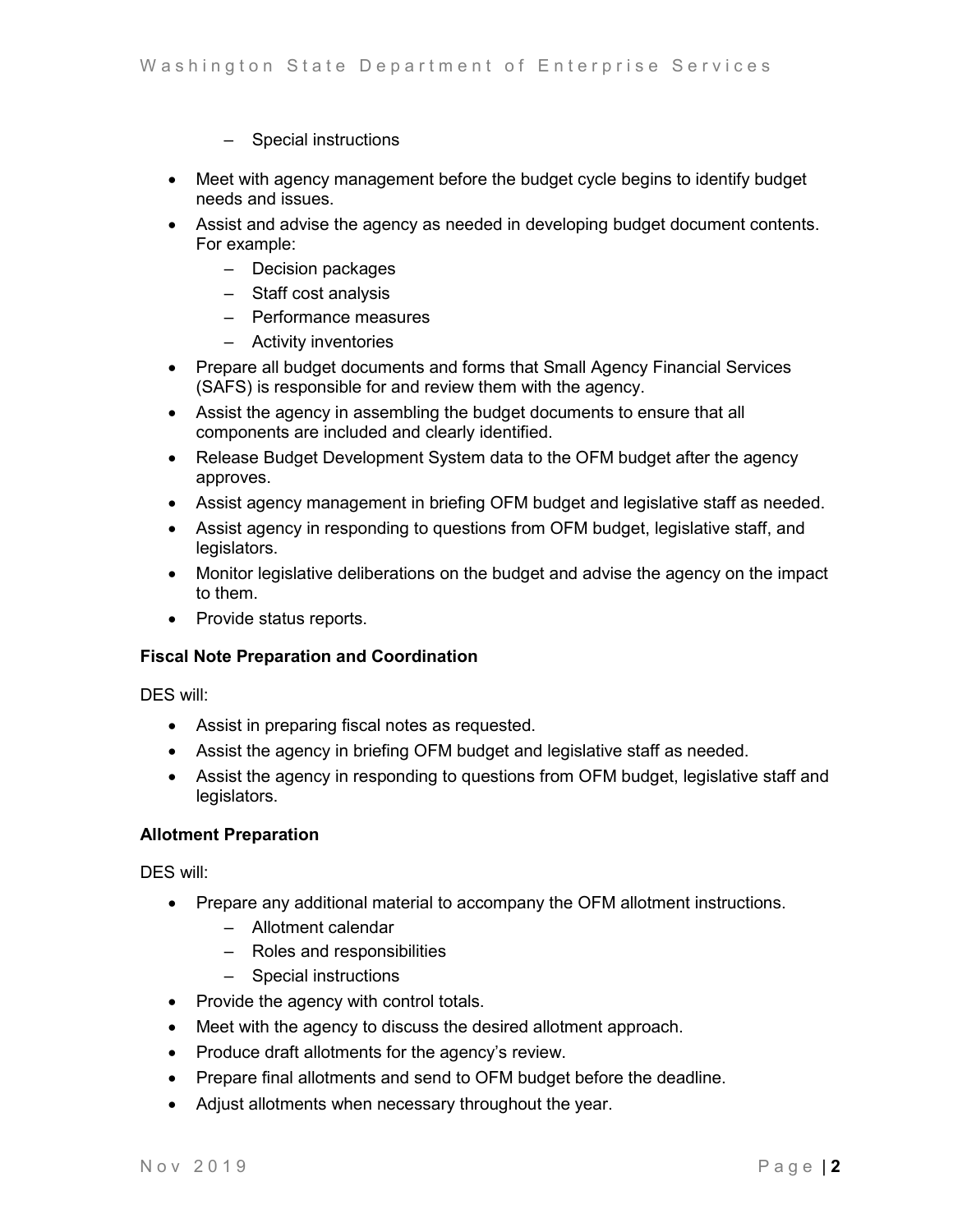- Special instructions
- Meet with agency management before the budget cycle begins to identify budget needs and issues.
- Assist and advise the agency as needed in developing budget document contents. For example:
	- Decision packages
	- Staff cost analysis
	- Performance measures
	- Activity inventories
- Prepare all budget documents and forms that Small Agency Financial Services (SAFS) is responsible for and review them with the agency.
- Assist the agency in assembling the budget documents to ensure that all components are included and clearly identified.
- Release Budget Development System data to the OFM budget after the agency approves.
- Assist agency management in briefing OFM budget and legislative staff as needed.
- Assist agency in responding to questions from OFM budget, legislative staff, and legislators.
- Monitor legislative deliberations on the budget and advise the agency on the impact to them.
- Provide status reports.

#### **Fiscal Note Preparation and Coordination**

DES will:

- Assist in preparing fiscal notes as requested.
- Assist the agency in briefing OFM budget and legislative staff as needed.
- Assist the agency in responding to questions from OFM budget, legislative staff and legislators.

#### **Allotment Preparation**

- Prepare any additional material to accompany the OFM allotment instructions.
	- Allotment calendar
	- Roles and responsibilities
	- Special instructions
- Provide the agency with control totals.
- Meet with the agency to discuss the desired allotment approach.
- Produce draft allotments for the agency's review.
- Prepare final allotments and send to OFM budget before the deadline.
- Adjust allotments when necessary throughout the year.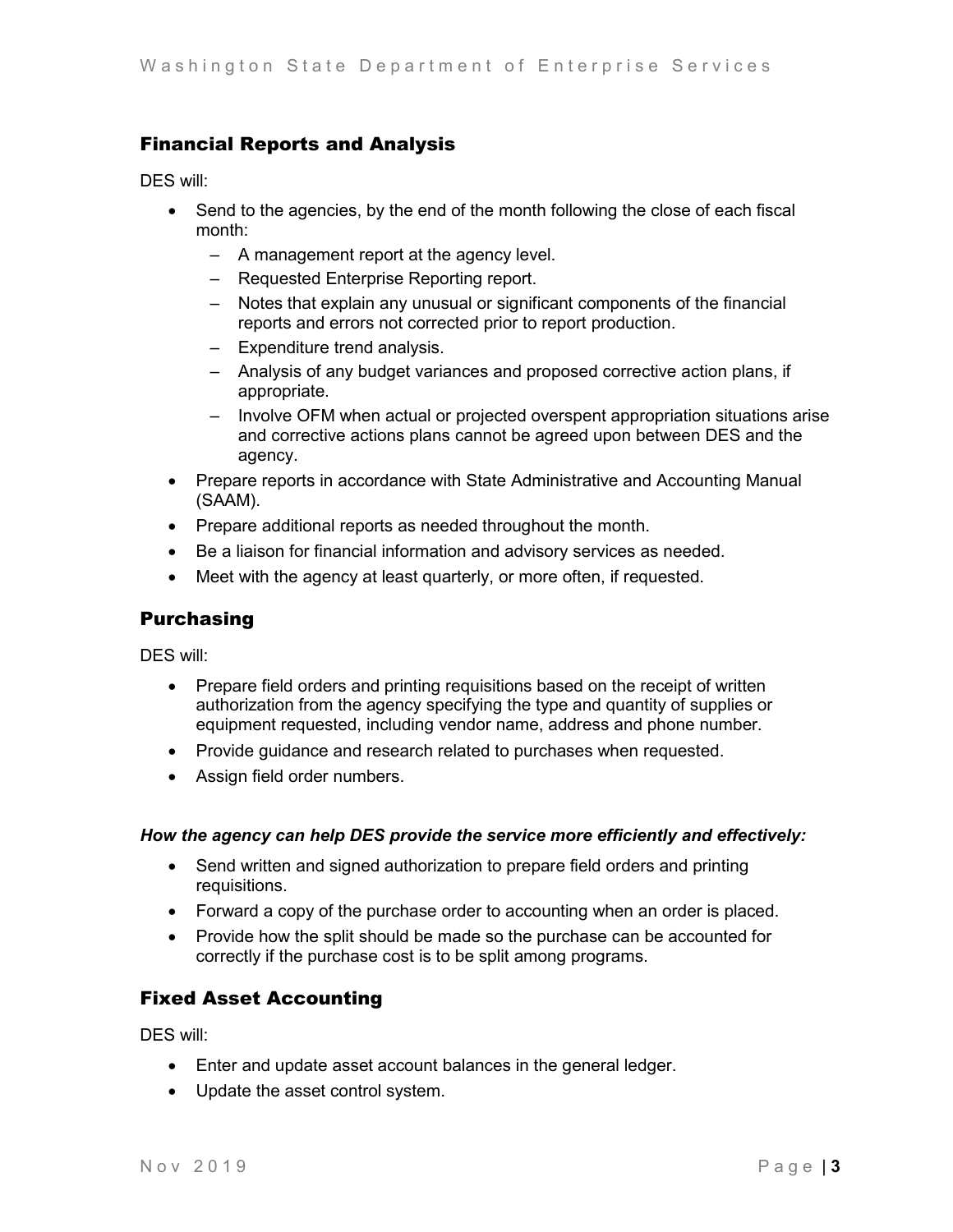### Financial Reports and Analysis

DES will:

- Send to the agencies, by the end of the month following the close of each fiscal month:
	- A management report at the agency level.
	- Requested Enterprise Reporting report.
	- Notes that explain any unusual or significant components of the financial reports and errors not corrected prior to report production.
	- Expenditure trend analysis.
	- Analysis of any budget variances and proposed corrective action plans, if appropriate.
	- Involve OFM when actual or projected overspent appropriation situations arise and corrective actions plans cannot be agreed upon between DES and the agency.
- Prepare reports in accordance with State Administrative and Accounting Manual (SAAM).
- Prepare additional reports as needed throughout the month.
- Be a liaison for financial information and advisory services as needed.
- Meet with the agency at least quarterly, or more often, if requested.

#### Purchasing

DES will:

- Prepare field orders and printing requisitions based on the receipt of written authorization from the agency specifying the type and quantity of supplies or equipment requested, including vendor name, address and phone number.
- Provide guidance and research related to purchases when requested.
- Assign field order numbers.

#### *How the agency can help DES provide the service more efficiently and effectively:*

- Send written and signed authorization to prepare field orders and printing requisitions.
- Forward a copy of the purchase order to accounting when an order is placed.
- Provide how the split should be made so the purchase can be accounted for correctly if the purchase cost is to be split among programs.

#### Fixed Asset Accounting

- Enter and update asset account balances in the general ledger.
- Update the asset control system.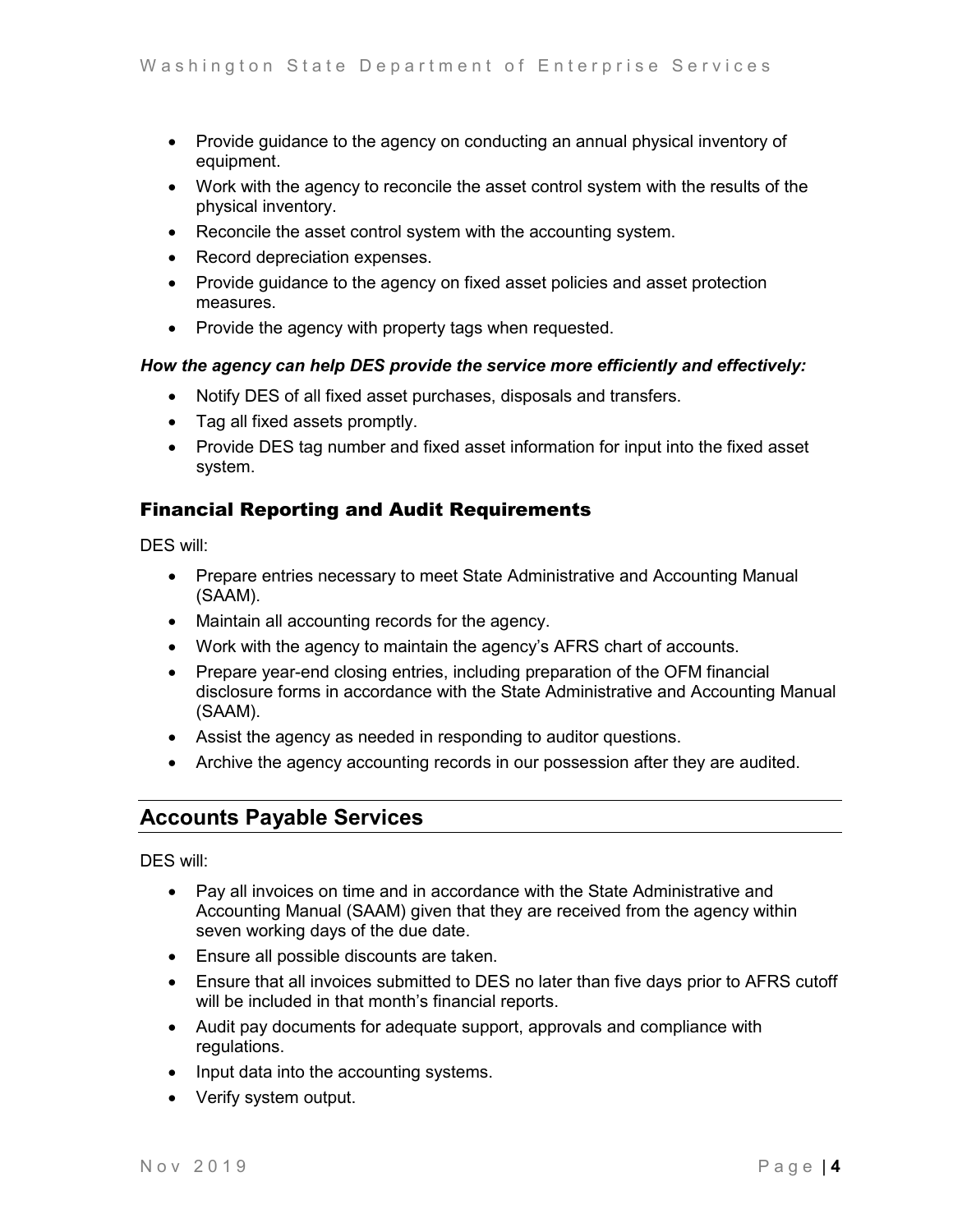- Provide guidance to the agency on conducting an annual physical inventory of equipment.
- Work with the agency to reconcile the asset control system with the results of the physical inventory.
- Reconcile the asset control system with the accounting system.
- Record depreciation expenses.
- Provide guidance to the agency on fixed asset policies and asset protection measures.
- Provide the agency with property tags when requested.

#### *How the agency can help DES provide the service more efficiently and effectively:*

- Notify DES of all fixed asset purchases, disposals and transfers.
- Tag all fixed assets promptly.
- Provide DES tag number and fixed asset information for input into the fixed asset system.

### Financial Reporting and Audit Requirements

DES will:

- Prepare entries necessary to meet State Administrative and Accounting Manual (SAAM).
- Maintain all accounting records for the agency.
- Work with the agency to maintain the agency's AFRS chart of accounts.
- Prepare year-end closing entries, including preparation of the OFM financial disclosure forms in accordance with the State Administrative and Accounting Manual (SAAM).
- Assist the agency as needed in responding to auditor questions.
- Archive the agency accounting records in our possession after they are audited.

## **Accounts Payable Services**

- Pay all invoices on time and in accordance with the State Administrative and Accounting Manual (SAAM) given that they are received from the agency within seven working days of the due date.
- Ensure all possible discounts are taken.
- Ensure that all invoices submitted to DES no later than five days prior to AFRS cutoff will be included in that month's financial reports.
- Audit pay documents for adequate support, approvals and compliance with regulations.
- Input data into the accounting systems.
- Verify system output.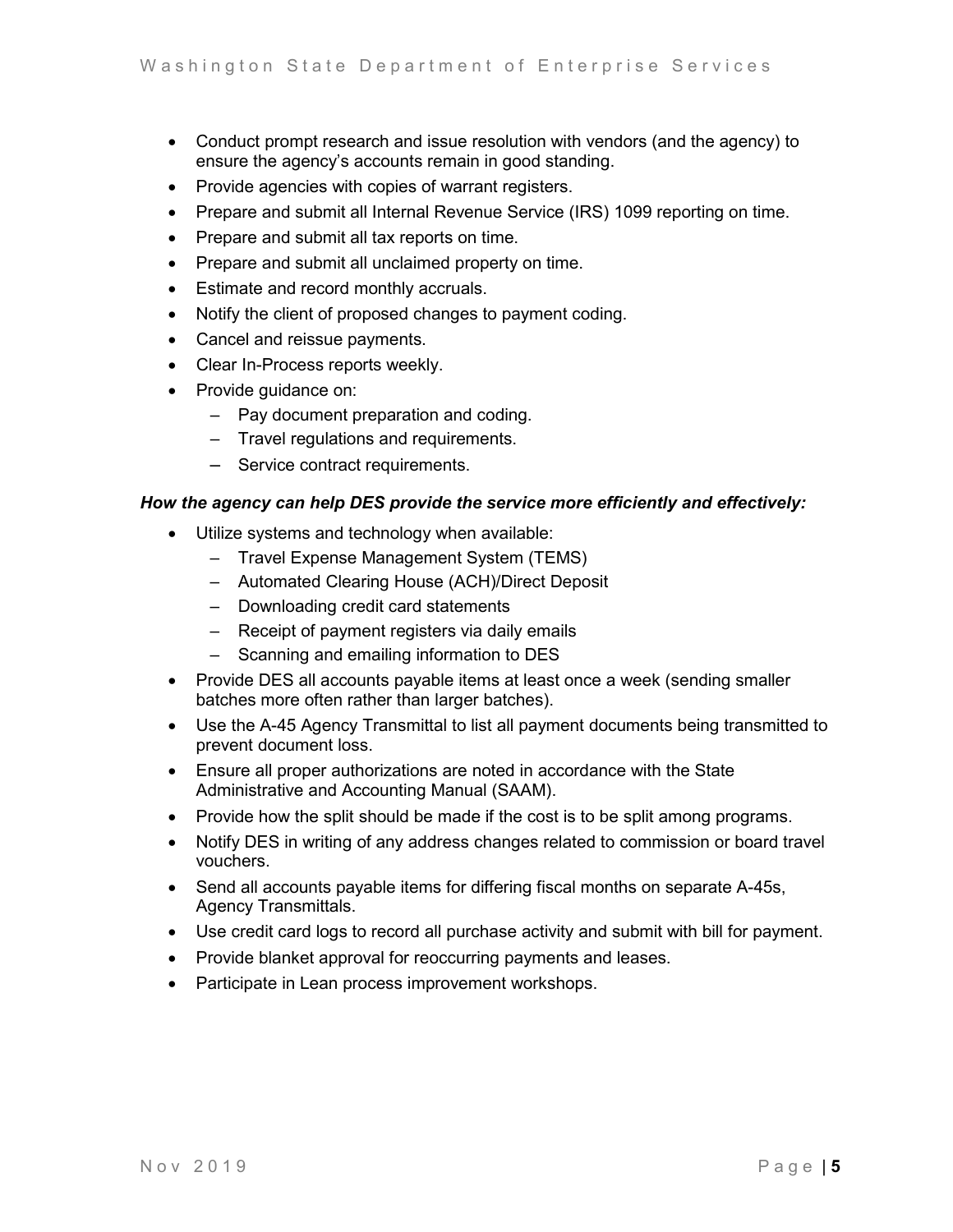- Conduct prompt research and issue resolution with vendors (and the agency) to ensure the agency's accounts remain in good standing.
- Provide agencies with copies of warrant registers.
- Prepare and submit all Internal Revenue Service (IRS) 1099 reporting on time.
- Prepare and submit all tax reports on time.
- Prepare and submit all unclaimed property on time.
- Estimate and record monthly accruals.
- Notify the client of proposed changes to payment coding.
- Cancel and reissue payments.
- Clear In-Process reports weekly.
- Provide guidance on:
	- Pay document preparation and coding.
	- Travel regulations and requirements.
	- Service contract requirements.

#### *How the agency can help DES provide the service more efficiently and effectively:*

- Utilize systems and technology when available:
	- Travel Expense Management System (TEMS)
	- Automated Clearing House (ACH)/Direct Deposit
	- Downloading credit card statements
	- Receipt of payment registers via daily emails
	- Scanning and emailing information to DES
- Provide DES all accounts payable items at least once a week (sending smaller batches more often rather than larger batches).
- Use the A-45 Agency Transmittal to list all payment documents being transmitted to prevent document loss.
- Ensure all proper authorizations are noted in accordance with the State Administrative and Accounting Manual (SAAM).
- Provide how the split should be made if the cost is to be split among programs.
- Notify DES in writing of any address changes related to commission or board travel vouchers.
- Send all accounts payable items for differing fiscal months on separate A-45s, Agency Transmittals.
- Use credit card logs to record all purchase activity and submit with bill for payment.
- Provide blanket approval for reoccurring payments and leases.
- Participate in Lean process improvement workshops.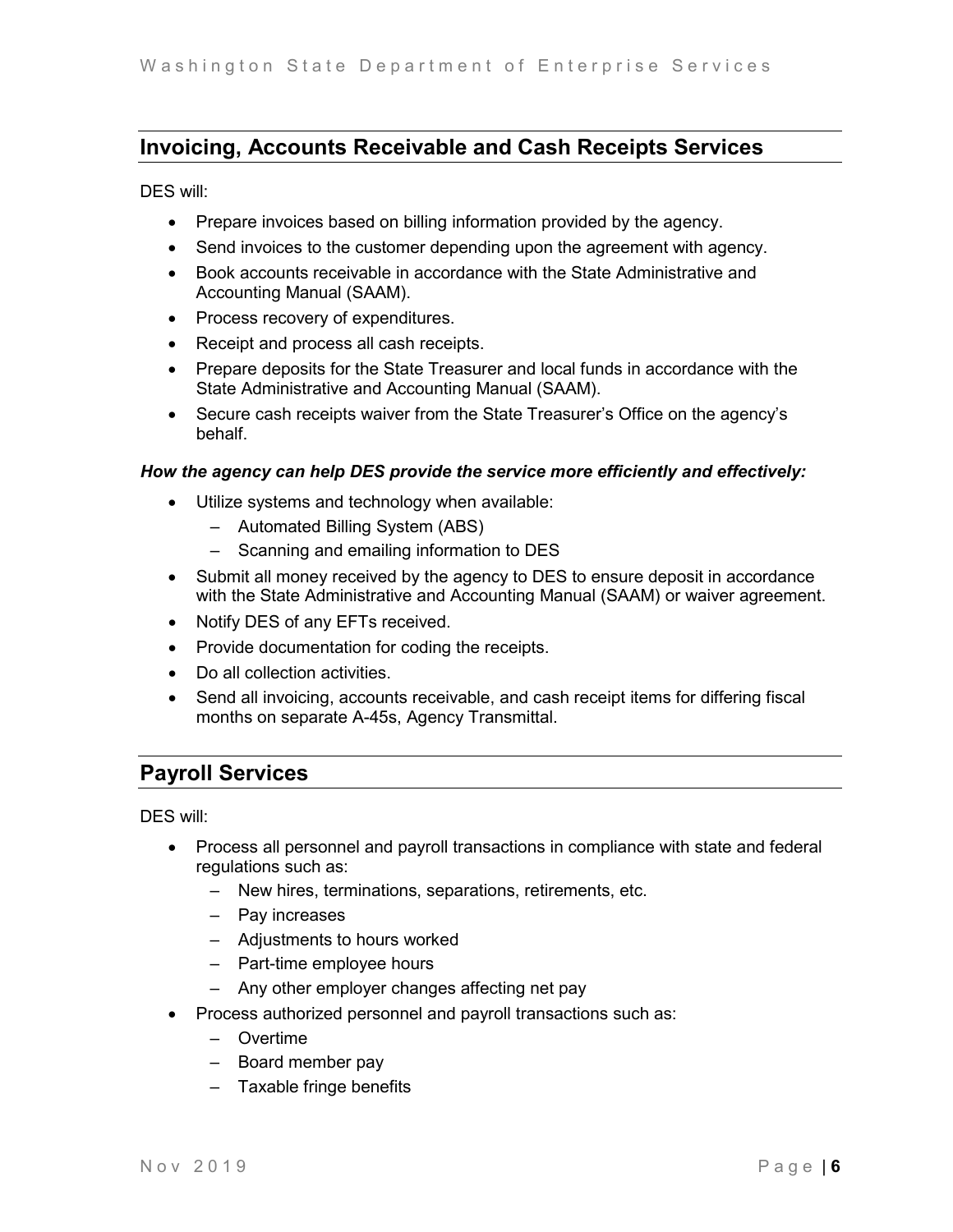## **Invoicing, Accounts Receivable and Cash Receipts Services**

DES will:

- Prepare invoices based on billing information provided by the agency.
- Send invoices to the customer depending upon the agreement with agency.
- Book accounts receivable in accordance with the State Administrative and Accounting Manual (SAAM).
- Process recovery of expenditures.
- Receipt and process all cash receipts.
- Prepare deposits for the State Treasurer and local funds in accordance with the State Administrative and Accounting Manual (SAAM).
- Secure cash receipts waiver from the State Treasurer's Office on the agency's behalf.

#### *How the agency can help DES provide the service more efficiently and effectively:*

- Utilize systems and technology when available:
	- Automated Billing System (ABS)
	- Scanning and emailing information to DES
- Submit all money received by the agency to DES to ensure deposit in accordance with the State Administrative and Accounting Manual (SAAM) or waiver agreement.
- Notify DES of any EFTs received.
- Provide documentation for coding the receipts.
- Do all collection activities.
- Send all invoicing, accounts receivable, and cash receipt items for differing fiscal months on separate A-45s, Agency Transmittal.

## **Payroll Services**

- Process all personnel and payroll transactions in compliance with state and federal regulations such as:
	- New hires, terminations, separations, retirements, etc.
	- Pay increases
	- Adjustments to hours worked
	- Part-time employee hours
	- Any other employer changes affecting net pay
- Process authorized personnel and payroll transactions such as:
	- Overtime
	- Board member pay
	- Taxable fringe benefits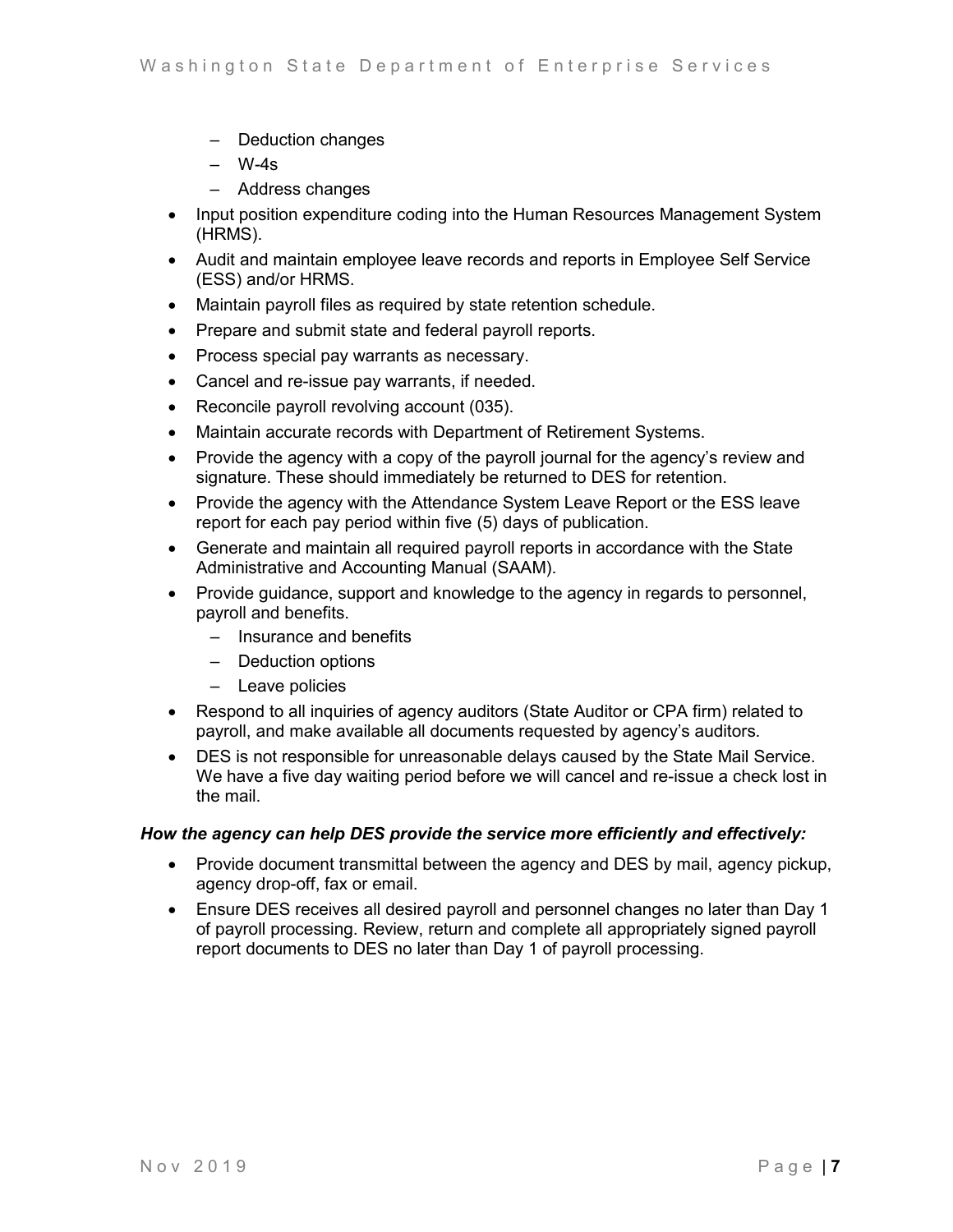- Deduction changes
- W-4s
- Address changes
- Input position expenditure coding into the Human Resources Management System (HRMS).
- Audit and maintain employee leave records and reports in Employee Self Service (ESS) and/or HRMS.
- Maintain payroll files as required by state retention schedule.
- Prepare and submit state and federal payroll reports.
- Process special pay warrants as necessary.
- Cancel and re-issue pay warrants, if needed.
- Reconcile payroll revolving account (035).
- Maintain accurate records with Department of Retirement Systems.
- Provide the agency with a copy of the payroll journal for the agency's review and signature. These should immediately be returned to DES for retention.
- Provide the agency with the Attendance System Leave Report or the ESS leave report for each pay period within five (5) days of publication.
- Generate and maintain all required payroll reports in accordance with the State Administrative and Accounting Manual (SAAM).
- Provide guidance, support and knowledge to the agency in regards to personnel, payroll and benefits.
	- Insurance and benefits
	- Deduction options
	- Leave policies
- Respond to all inquiries of agency auditors (State Auditor or CPA firm) related to payroll, and make available all documents requested by agency's auditors.
- DES is not responsible for unreasonable delays caused by the State Mail Service. We have a five day waiting period before we will cancel and re-issue a check lost in the mail.

#### *How the agency can help DES provide the service more efficiently and effectively:*

- Provide document transmittal between the agency and DES by mail, agency pickup, agency drop-off, fax or email.
- Ensure DES receives all desired payroll and personnel changes no later than Day 1 of payroll processing. Review, return and complete all appropriately signed payroll report documents to DES no later than Day 1 of payroll processing.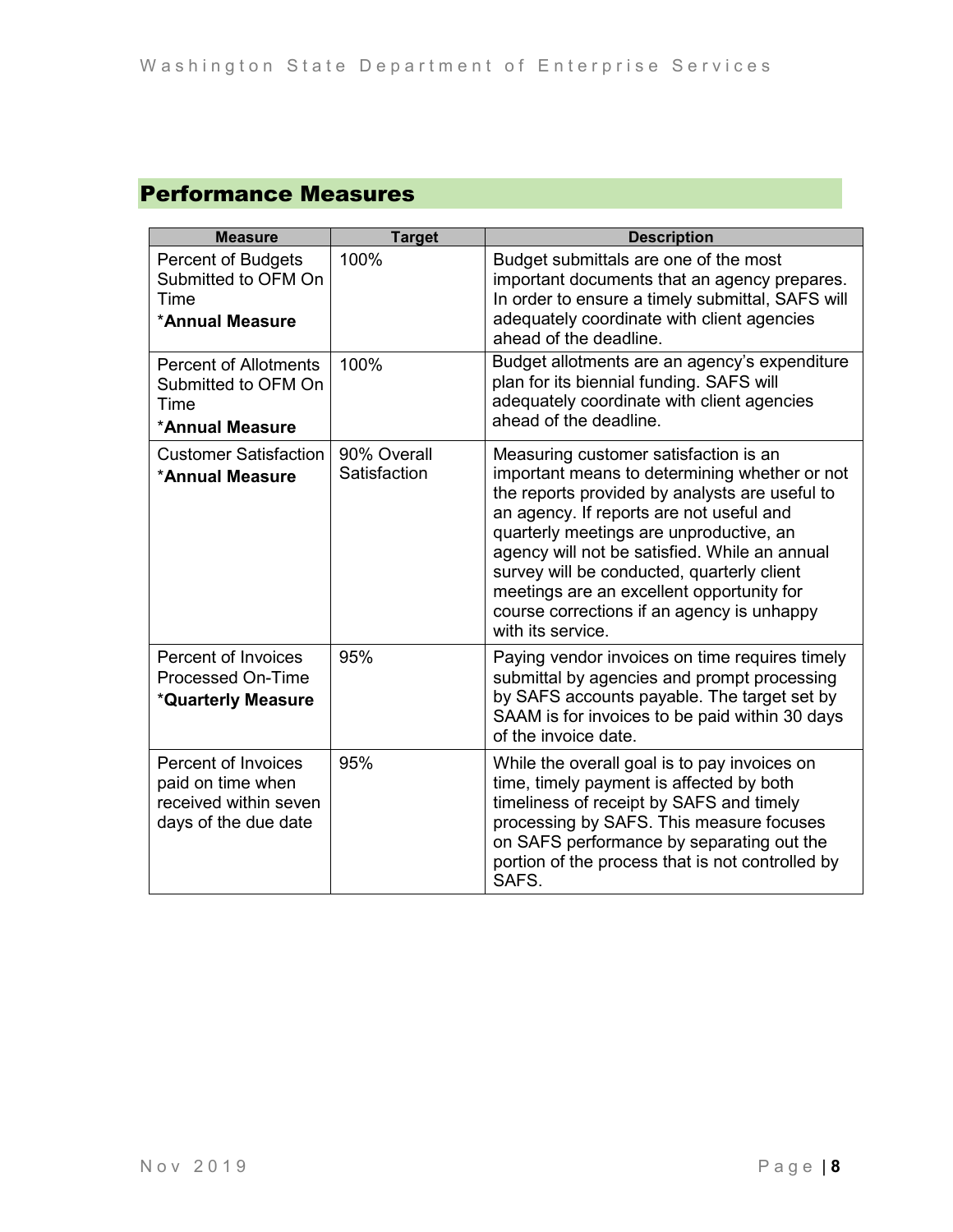## Performance Measures

| <b>Measure</b>                                                                            | <b>Target</b>               | <b>Description</b>                                                                                                                                                                                                                                                                                                                                                                                                                             |
|-------------------------------------------------------------------------------------------|-----------------------------|------------------------------------------------------------------------------------------------------------------------------------------------------------------------------------------------------------------------------------------------------------------------------------------------------------------------------------------------------------------------------------------------------------------------------------------------|
| <b>Percent of Budgets</b><br>Submitted to OFM On<br>Time<br>*Annual Measure               | 100%                        | Budget submittals are one of the most<br>important documents that an agency prepares.<br>In order to ensure a timely submittal, SAFS will<br>adequately coordinate with client agencies<br>ahead of the deadline.                                                                                                                                                                                                                              |
| <b>Percent of Allotments</b><br>Submitted to OFM On<br>Time<br>*Annual Measure            | 100%                        | Budget allotments are an agency's expenditure<br>plan for its biennial funding. SAFS will<br>adequately coordinate with client agencies<br>ahead of the deadline.                                                                                                                                                                                                                                                                              |
| <b>Customer Satisfaction</b><br>*Annual Measure                                           | 90% Overall<br>Satisfaction | Measuring customer satisfaction is an<br>important means to determining whether or not<br>the reports provided by analysts are useful to<br>an agency. If reports are not useful and<br>quarterly meetings are unproductive, an<br>agency will not be satisfied. While an annual<br>survey will be conducted, quarterly client<br>meetings are an excellent opportunity for<br>course corrections if an agency is unhappy<br>with its service. |
| Percent of Invoices<br><b>Processed On-Time</b><br>*Quarterly Measure                     | 95%                         | Paying vendor invoices on time requires timely<br>submittal by agencies and prompt processing<br>by SAFS accounts payable. The target set by<br>SAAM is for invoices to be paid within 30 days<br>of the invoice date.                                                                                                                                                                                                                         |
| Percent of Invoices<br>paid on time when<br>received within seven<br>days of the due date | 95%                         | While the overall goal is to pay invoices on<br>time, timely payment is affected by both<br>timeliness of receipt by SAFS and timely<br>processing by SAFS. This measure focuses<br>on SAFS performance by separating out the<br>portion of the process that is not controlled by<br>SAFS.                                                                                                                                                     |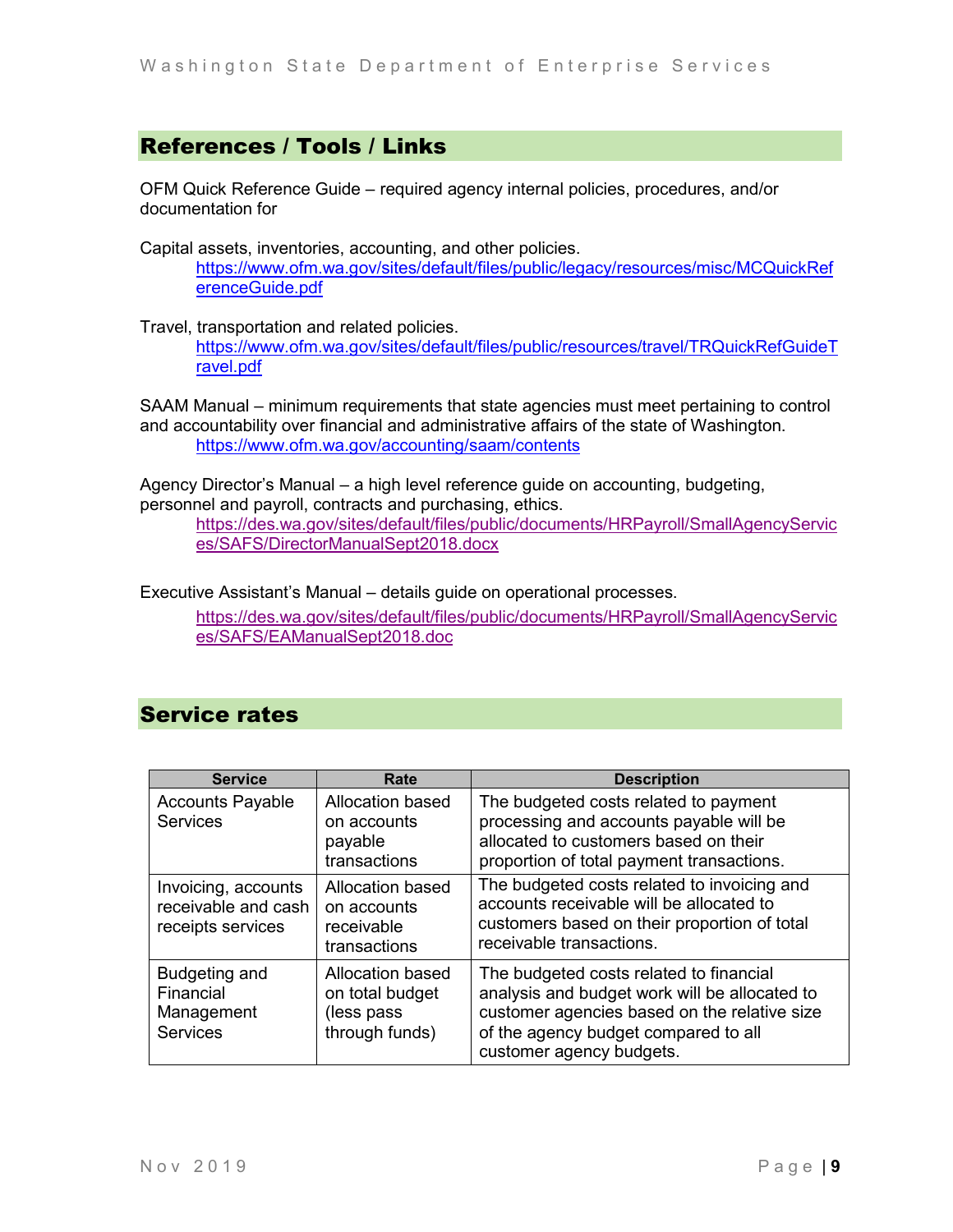## References / Tools / Links

OFM Quick Reference Guide – required agency internal policies, procedures, and/or documentation for

Capital assets, inventories, accounting, and other policies. [https://www.ofm.wa.gov/sites/default/files/public/legacy/resources/misc/MCQuickRef](https://www.ofm.wa.gov/sites/default/files/public/legacy/resources/misc/MCQuickReferenceGuide.pdf) [erenceGuide.pdf](https://www.ofm.wa.gov/sites/default/files/public/legacy/resources/misc/MCQuickReferenceGuide.pdf)

Travel, transportation and related policies. [https://www.ofm.wa.gov/sites/default/files/public/resources/travel/TRQuickRefGuideT](https://www.ofm.wa.gov/sites/default/files/public/resources/travel/TRQuickRefGuideTravel.pdf) [ravel.pdf](https://www.ofm.wa.gov/sites/default/files/public/resources/travel/TRQuickRefGuideTravel.pdf)

SAAM Manual – minimum requirements that state agencies must meet pertaining to control and accountability over financial and administrative affairs of the state of Washington. <https://www.ofm.wa.gov/accounting/saam/contents>

Agency Director's Manual – a high level reference guide on accounting, budgeting, personnel and payroll, contracts and purchasing, ethics.

[https://des.wa.gov/sites/default/files/public/documents/HRPayroll/SmallAgencyServic](https://des.wa.gov/sites/default/files/public/documents/HRPayroll/SmallAgencyServices/SAFS/DirectorManualSept2018.docx) [es/SAFS/DirectorManualSept2018.docx](https://des.wa.gov/sites/default/files/public/documents/HRPayroll/SmallAgencyServices/SAFS/DirectorManualSept2018.docx)

Executive Assistant's Manual – details guide on operational processes.

[https://des.wa.gov/sites/default/files/public/documents/HRPayroll/SmallAgencyServic](https://des.wa.gov/sites/default/files/public/documents/HRPayroll/SmallAgencyServices/SAFS/EAManualSept2018.doc) [es/SAFS/EAManualSept2018.doc](https://des.wa.gov/sites/default/files/public/documents/HRPayroll/SmallAgencyServices/SAFS/EAManualSept2018.doc)

## Service rates

| <b>Service</b>                                                  | Rate                                                                 | <b>Description</b>                                                                                                                                                                                           |
|-----------------------------------------------------------------|----------------------------------------------------------------------|--------------------------------------------------------------------------------------------------------------------------------------------------------------------------------------------------------------|
| <b>Accounts Payable</b><br><b>Services</b>                      | Allocation based<br>on accounts<br>payable<br>transactions           | The budgeted costs related to payment<br>processing and accounts payable will be<br>allocated to customers based on their<br>proportion of total payment transactions.                                       |
| Invoicing, accounts<br>receivable and cash<br>receipts services | Allocation based<br>on accounts<br>receivable<br>transactions        | The budgeted costs related to invoicing and<br>accounts receivable will be allocated to<br>customers based on their proportion of total<br>receivable transactions.                                          |
| Budgeting and<br>Financial<br>Management<br><b>Services</b>     | Allocation based<br>on total budget<br>(less pass)<br>through funds) | The budgeted costs related to financial<br>analysis and budget work will be allocated to<br>customer agencies based on the relative size<br>of the agency budget compared to all<br>customer agency budgets. |